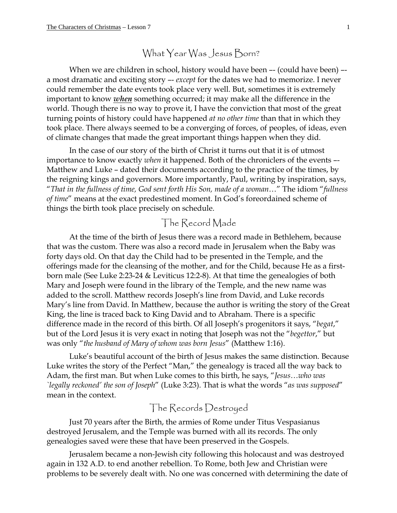## What Year Was Jesus Born?

When we are children in school, history would have been -- (could have been) -a most dramatic and exciting story –- *except* for the dates we had to memorize. I never could remember the date events took place very well. But, sometimes it is extremely important to know *when* something occurred; it may make all the difference in the world. Though there is no way to prove it, I have the conviction that most of the great turning points of history could have happened *at no other time* than that in which they took place. There always seemed to be a converging of forces, of peoples, of ideas, even of climate changes that made the great important things happen when they did.

In the case of our story of the birth of Christ it turns out that it is of utmost importance to know exactly *when* it happened. Both of the chroniclers of the events –- Matthew and Luke – dated their documents according to the practice of the times, by the reigning kings and governors. More importantly, Paul, writing by inspiration, says, "*That in the fullness of time, God sent forth His Son, made of a woman*…" The idiom "*fullness of time*" means at the exact predestined moment. In God's foreordained scheme of things the birth took place precisely on schedule.

## The Record Made

At the time of the birth of Jesus there was a record made in Bethlehem, because that was the custom. There was also a record made in Jerusalem when the Baby was forty days old. On that day the Child had to be presented in the Temple, and the offerings made for the cleansing of the mother, and for the Child, because He as a firstborn male (See Luke 2:23-24 & Leviticus 12:2-8). At that time the genealogies of both Mary and Joseph were found in the library of the Temple, and the new name was added to the scroll. Matthew records Joseph's line from David, and Luke records Mary's line from David. In Matthew, because the author is writing the story of the Great King, the line is traced back to King David and to Abraham. There is a specific difference made in the record of this birth. Of all Joseph's progenitors it says, "*begat*," but of the Lord Jesus it is very exact in noting that Joseph was not the "*begettor*," but was only "*the husband of Mary of whom was born Jesus*" (Matthew 1:16).

Luke's beautiful account of the birth of Jesus makes the same distinction. Because Luke writes the story of the Perfect "Man," the genealogy is traced all the way back to Adam, the first man. But when Luke comes to this birth, he says, "*Jesus…who was `legally reckoned' the son of Joseph*" (Luke 3:23). That is what the words "*as was supposed*" mean in the context.

## The Records Destroyed

Just 70 years after the Birth, the armies of Rome under Titus Vespasianus destroyed Jerusalem, and the Temple was burned with all its records. The only genealogies saved were these that have been preserved in the Gospels.

Jerusalem became a non-Jewish city following this holocaust and was destroyed again in 132 A.D. to end another rebellion. To Rome, both Jew and Christian were problems to be severely dealt with. No one was concerned with determining the date of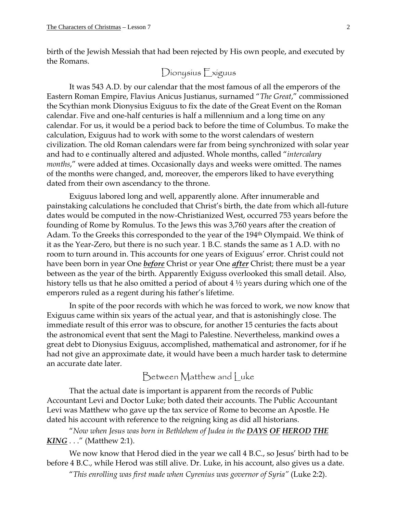birth of the Jewish Messiah that had been rejected by His own people, and executed by the Romans.

Dionysius Exiguus

It was 543 A.D. by our calendar that the most famous of all the emperors of the Eastern Roman Empire, Flavius Anicus Justianus, surnamed "*The Great*," commissioned the Scythian monk Dionysius Exiguus to fix the date of the Great Event on the Roman calendar. Five and one-half centuries is half a millennium and a long time on any calendar. For us, it would be a period back to before the time of Columbus. To make the calculation, Exiguus had to work with some to the worst calendars of western civilization. The old Roman calendars were far from being synchronized with solar year and had to e continually altered and adjusted. Whole months, called "*intercalary months*," were added at times. Occasionally days and weeks were omitted. The names of the months were changed, and, moreover, the emperors liked to have everything dated from their own ascendancy to the throne.

Exiguus labored long and well, apparently alone. After innumerable and painstaking calculations he concluded that Christ's birth, the date from which all-future dates would be computed in the now-Christianized West, occurred 753 years before the founding of Rome by Romulus. To the Jews this was 3,760 years after the creation of Adam. To the Greeks this corresponded to the year of the 194<sup>th</sup> Olympaid. We think of it as the Year-Zero, but there is no such year. 1 B.C. stands the same as 1 A.D. with no room to turn around in. This accounts for one years of Exiguus' error. Christ could not have been born in year One *before* Christ or year One *after* Christ; there must be a year between as the year of the birth. Apparently Exiguss overlooked this small detail. Also, history tells us that he also omitted a period of about 4 ½ years during which one of the emperors ruled as a regent during his father's lifetime.

In spite of the poor records with which he was forced to work, we now know that Exiguus came within six years of the actual year, and that is astonishingly close. The immediate result of this error was to obscure, for another 15 centuries the facts about the astronomical event that sent the Magi to Palestine. Nevertheless, mankind owes a great debt to Dionysius Exiguus, accomplished, mathematical and astronomer, for if he had not give an approximate date, it would have been a much harder task to determine an accurate date later.

Between Matthew and Luke

That the actual date is important is apparent from the records of Public Accountant Levi and Doctor Luke; both dated their accounts. The Public Accountant Levi was Matthew who gave up the tax service of Rome to become an Apostle. He dated his account with reference to the reigning king as did all historians.

"*Now when Jesus was born in Bethlehem of Judea in the DAYS OF HEROD THE KING .* . ." (Matthew 2:1).

We now know that Herod died in the year we call 4 B.C., so Jesus' birth had to be before 4 B.C., while Herod was still alive. Dr. Luke, in his account, also gives us a date.

"*This enrolling was first made when Cyrenius was governor of Syria"* (Luke 2:2).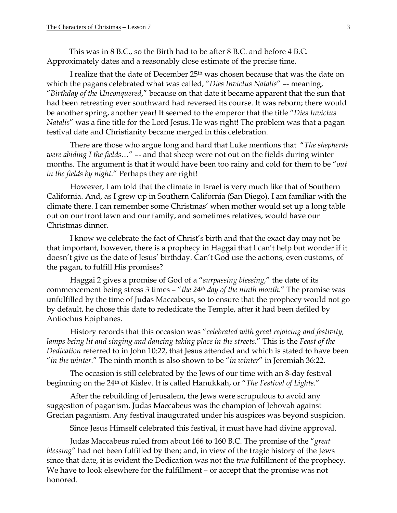This was in 8 B.C., so the Birth had to be after 8 B.C. and before 4 B.C. Approximately dates and a reasonably close estimate of the precise time.

I realize that the date of December 25<sup>th</sup> was chosen because that was the date on which the pagans celebrated what was called, "*Dies Invictus Natalis*" –- meaning, "*Birthday of the Unconquered*," because on that date it became apparent that the sun that had been retreating ever southward had reversed its course. It was reborn; there would be another spring, another year! It seemed to the emperor that the title "*Dies Invictus Natalis*" was a fine title for the Lord Jesus. He was right! The problem was that a pagan festival date and Christianity became merged in this celebration.

There are those who argue long and hard that Luke mentions that "*The shepherds were abiding I the fields*…" –- and that sheep were not out on the fields during winter months. The argument is that it would have been too rainy and cold for them to be "*out in the fields by night.*" Perhaps they are right!

However, I am told that the climate in Israel is very much like that of Southern California. And, as I grew up in Southern California (San Diego), I am familiar with the climate there. I can remember some Christmas' when mother would set up a long table out on our front lawn and our family, and sometimes relatives, would have our Christmas dinner.

I know we celebrate the fact of Christ's birth and that the exact day may not be that important, however, there is a prophecy in Haggai that I can't help but wonder if it doesn't give us the date of Jesus' birthday. Can't God use the actions, even customs, of the pagan, to fulfill His promises?

Haggai 2 gives a promise of God of a "*surpassing blessing,*" the date of its commencement being stress 3 times – "*the 24th day of the ninth month*." The promise was unfulfilled by the time of Judas Maccabeus, so to ensure that the prophecy would not go by default, he chose this date to rededicate the Temple, after it had been defiled by Antiochus Epiphanes.

History records that this occasion was "*celebrated with great rejoicing and festivity, lamps being lit and singing and dancing taking place in the streets*." This is the *Feast of the Dedication* referred to in John 10:22, that Jesus attended and which is stated to have been "*in the winter*." The ninth month is also shown to be "*in winter*" in Jeremiah 36:22.

The occasion is still celebrated by the Jews of our time with an 8-day festival beginning on the 24th of Kislev. It is called Hanukkah, or "*The Festival of Lights*."

After the rebuilding of Jerusalem, the Jews were scrupulous to avoid any suggestion of paganism. Judas Maccabeus was the champion of Jehovah against Grecian paganism. Any festival inaugurated under his auspices was beyond suspicion.

Since Jesus Himself celebrated this festival, it must have had divine approval.

Judas Maccabeus ruled from about 166 to 160 B.C. The promise of the "*great blessing*" had not been fulfilled by then; and, in view of the tragic history of the Jews since that date, it is evident the Dedication was not the *true* fulfillment of the prophecy. We have to look elsewhere for the fulfillment – or accept that the promise was not honored.